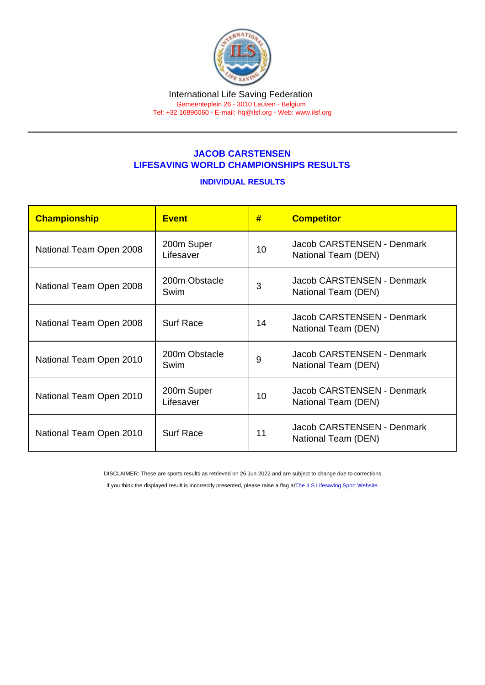## JACOB CARSTENSEN LIFESAVING WORLD CHAMPIONSHIPS RESULTS

## INDIVIDUAL RESULTS

| Championship            | Event                   | #  | <b>Competitor</b>                                 |
|-------------------------|-------------------------|----|---------------------------------------------------|
| National Team Open 2008 | 200m Super<br>Lifesaver | 10 | Jacob CARSTENSEN - Denmark<br>National Team (DEN) |
| National Team Open 2008 | 200m Obstacle<br>Swim   | 3  | Jacob CARSTENSEN - Denmark<br>National Team (DEN) |
| National Team Open 2008 | <b>Surf Race</b>        | 14 | Jacob CARSTENSEN - Denmark<br>National Team (DEN) |
| National Team Open 2010 | 200m Obstacle<br>Swim   | 9  | Jacob CARSTENSEN - Denmark<br>National Team (DEN) |
| National Team Open 2010 | 200m Super<br>Lifesaver | 10 | Jacob CARSTENSEN - Denmark<br>National Team (DEN) |
| National Team Open 2010 | <b>Surf Race</b>        | 11 | Jacob CARSTENSEN - Denmark<br>National Team (DEN) |

DISCLAIMER: These are sports results as retrieved on 26 Jun 2022 and are subject to change due to corrections.

If you think the displayed result is incorrectly presented, please raise a flag at [The ILS Lifesaving Sport Website.](https://sport.ilsf.org)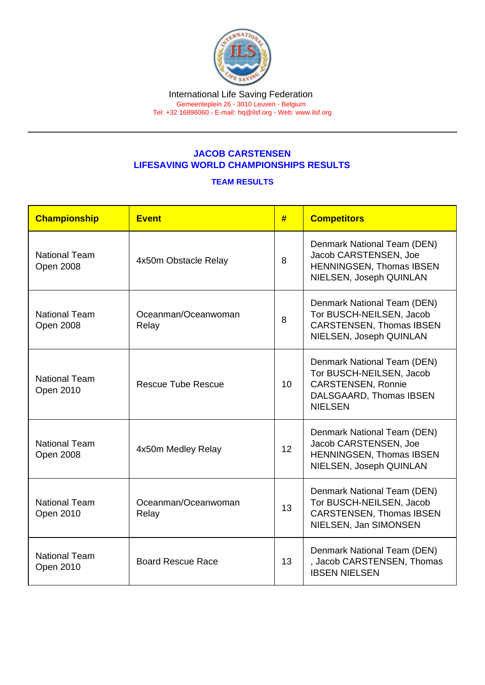## JACOB CARSTENSEN LIFESAVING WORLD CHAMPIONSHIPS RESULTS

## TEAM RESULTS

| Championship                             | <b>Event</b>                 | #  | <b>Competitors</b>                                                                                                                |
|------------------------------------------|------------------------------|----|-----------------------------------------------------------------------------------------------------------------------------------|
| <b>National Team</b><br><b>Open 2008</b> | 4x50m Obstacle Relay         | 8  | Denmark National Team (DEN)<br>Jacob CARSTENSEN, Joe<br>HENNINGSEN, Thomas IBSEN<br>NIELSEN, Joseph QUINLAN                       |
| <b>National Team</b><br><b>Open 2008</b> | Oceanman/Oceanwoman<br>Relay | 8  | Denmark National Team (DEN)<br>Tor BUSCH-NEILSEN, Jacob<br><b>CARSTENSEN, Thomas IBSEN</b><br>NIELSEN, Joseph QUINLAN             |
| <b>National Team</b><br>Open 2010        | <b>Rescue Tube Rescue</b>    | 10 | Denmark National Team (DEN)<br>Tor BUSCH-NEILSEN, Jacob<br><b>CARSTENSEN, Ronnie</b><br>DALSGAARD, Thomas IBSEN<br><b>NIELSEN</b> |
| <b>National Team</b><br><b>Open 2008</b> | 4x50m Medley Relay           | 12 | Denmark National Team (DEN)<br>Jacob CARSTENSEN, Joe<br>HENNINGSEN, Thomas IBSEN<br>NIELSEN, Joseph QUINLAN                       |
| <b>National Team</b><br>Open 2010        | Oceanman/Oceanwoman<br>Relay | 13 | Denmark National Team (DEN)<br>Tor BUSCH-NEILSEN, Jacob<br><b>CARSTENSEN, Thomas IBSEN</b><br>NIELSEN, Jan SIMONSEN               |
| <b>National Team</b><br>Open 2010        | <b>Board Rescue Race</b>     | 13 | Denmark National Team (DEN)<br>, Jacob CARSTENSEN, Thomas<br><b>IBSEN NIELSEN</b>                                                 |